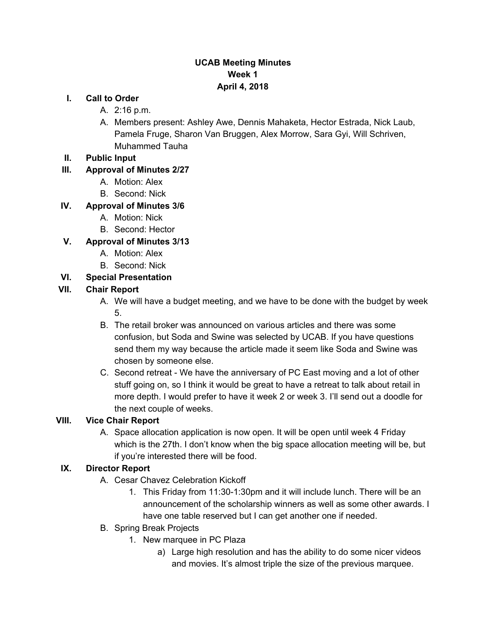## **UCAB Meeting Minutes Week 1 April 4, 2018**

#### **I. Call to Order**

- A. 2:16 p.m.
- A. Members present: Ashley Awe, Dennis Mahaketa, Hector Estrada, Nick Laub, Pamela Fruge, Sharon Van Bruggen, Alex Morrow, Sara Gyi, Will Schriven, Muhammed Tauha
- **II. Public Input**

#### **III. Approval of Minutes 2/27**

- A. Motion: Alex
- B. Second: Nick

### **IV. Approval of Minutes 3/6**

- A. Motion: Nick
- B. Second: Hector

#### **V. Approval of Minutes 3/13**

- A. Motion: Alex
- B. Second: Nick

#### **VI. Special Presentation**

#### **VII. Chair Report**

- A. We will have a budget meeting, and we have to be done with the budget by week 5.
- B. The retail broker was announced on various articles and there was some confusion, but Soda and Swine was selected by UCAB. If you have questions send them my way because the article made it seem like Soda and Swine was chosen by someone else.
- C. Second retreat We have the anniversary of PC East moving and a lot of other stuff going on, so I think it would be great to have a retreat to talk about retail in more depth. I would prefer to have it week 2 or week 3. I'll send out a doodle for the next couple of weeks.

#### **VIII. Vice Chair Report**

A. Space allocation application is now open. It will be open until week 4 Friday which is the 27th. I don't know when the big space allocation meeting will be, but if you're interested there will be food.

#### **IX. Director Report**

- A. Cesar Chavez Celebration Kickoff
	- 1. This Friday from 11:30-1:30pm and it will include lunch. There will be an announcement of the scholarship winners as well as some other awards. I have one table reserved but I can get another one if needed.
- B. Spring Break Projects
	- 1. New marquee in PC Plaza
		- a) Large high resolution and has the ability to do some nicer videos and movies. It's almost triple the size of the previous marquee.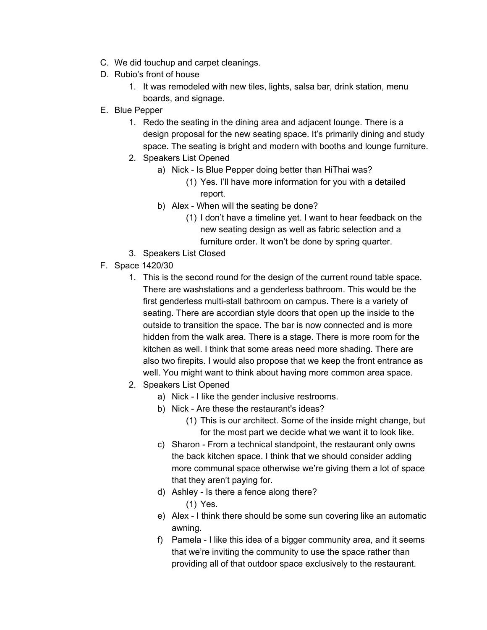- C. We did touchup and carpet cleanings.
- D. Rubio's front of house
	- 1. It was remodeled with new tiles, lights, salsa bar, drink station, menu boards, and signage.
- E. Blue Pepper
	- 1. Redo the seating in the dining area and adjacent lounge. There is a design proposal for the new seating space. It's primarily dining and study space. The seating is bright and modern with booths and lounge furniture.
	- 2. Speakers List Opened
		- a) Nick Is Blue Pepper doing better than HiThai was? (1) Yes. I'll have more information for you with a detailed report.
		- b) Alex When will the seating be done?
			- (1) I don't have a timeline yet. I want to hear feedback on the new seating design as well as fabric selection and a furniture order. It won't be done by spring quarter.
	- 3. Speakers List Closed
- F. Space 1420/30
	- 1. This is the second round for the design of the current round table space. There are washstations and a genderless bathroom. This would be the first genderless multi-stall bathroom on campus. There is a variety of seating. There are accordian style doors that open up the inside to the outside to transition the space. The bar is now connected and is more hidden from the walk area. There is a stage. There is more room for the kitchen as well. I think that some areas need more shading. There are also two firepits. I would also propose that we keep the front entrance as well. You might want to think about having more common area space.
	- 2. Speakers List Opened
		- a) Nick I like the gender inclusive restrooms.
		- b) Nick Are these the restaurant's ideas?
			- (1) This is our architect. Some of the inside might change, but for the most part we decide what we want it to look like.
		- c) Sharon From a technical standpoint, the restaurant only owns the back kitchen space. I think that we should consider adding more communal space otherwise we're giving them a lot of space that they aren't paying for.
		- d) Ashley Is there a fence along there?
			- (1) Yes.
		- e) Alex I think there should be some sun covering like an automatic awning.
		- f) Pamela I like this idea of a bigger community area, and it seems that we're inviting the community to use the space rather than providing all of that outdoor space exclusively to the restaurant.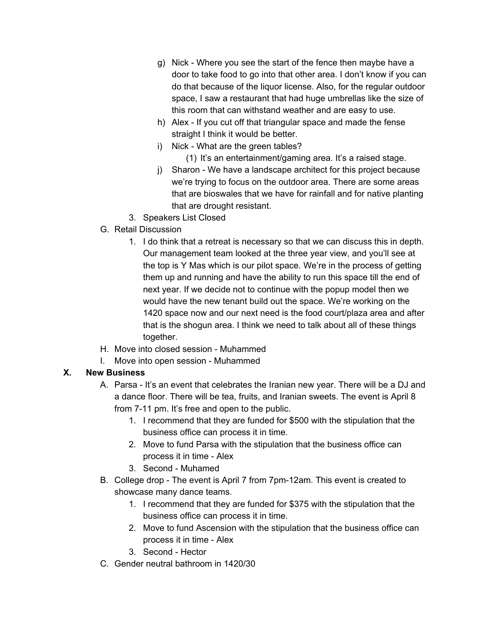- g) Nick Where you see the start of the fence then maybe have a door to take food to go into that other area. I don't know if you can do that because of the liquor license. Also, for the regular outdoor space, I saw a restaurant that had huge umbrellas like the size of this room that can withstand weather and are easy to use.
- h) Alex If you cut off that triangular space and made the fense straight I think it would be better.
- i) Nick What are the green tables?
	- (1) It's an entertainment/gaming area. It's a raised stage.
- j) Sharon We have a landscape architect for this project because we're trying to focus on the outdoor area. There are some areas that are bioswales that we have for rainfall and for native planting that are drought resistant.
- 3. Speakers List Closed
- G. Retail Discussion
	- 1. I do think that a retreat is necessary so that we can discuss this in depth. Our management team looked at the three year view, and you'll see at the top is Y Mas which is our pilot space. We're in the process of getting them up and running and have the ability to run this space till the end of next year. If we decide not to continue with the popup model then we would have the new tenant build out the space. We're working on the 1420 space now and our next need is the food court/plaza area and after that is the shogun area. I think we need to talk about all of these things together.
- H. Move into closed session Muhammed
- I. Move into open session Muhammed

# **X. New Business**

- A. Parsa It's an event that celebrates the Iranian new year. There will be a DJ and a dance floor. There will be tea, fruits, and Iranian sweets. The event is April 8 from 7-11 pm. It's free and open to the public.
	- 1. I recommend that they are funded for \$500 with the stipulation that the business office can process it in time.
	- 2. Move to fund Parsa with the stipulation that the business office can process it in time - Alex
	- 3. Second Muhamed
- B. College drop The event is April 7 from 7pm-12am. This event is created to showcase many dance teams.
	- 1. I recommend that they are funded for \$375 with the stipulation that the business office can process it in time.
	- 2. Move to fund Ascension with the stipulation that the business office can process it in time - Alex
	- 3. Second Hector
- C. Gender neutral bathroom in 1420/30